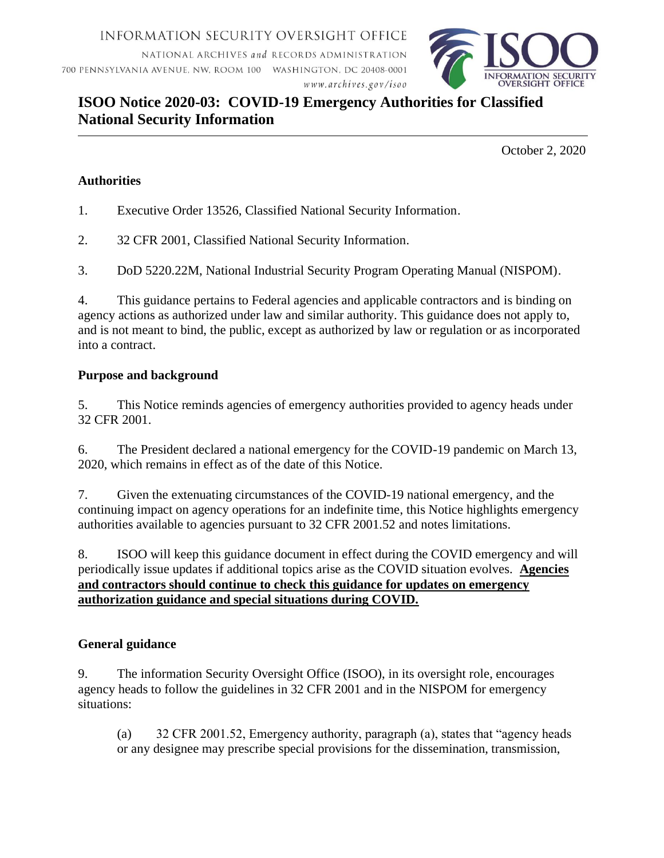INFORMATION SECURITY OVERSIGHT OFFICE

NATIONAL ARCHIVES and RECORDS ADMINISTRATION 700 PENNSYLVANIA AVENUE, NW, ROOM 100 WASHINGTON, DC 20408-0001 www.archives.gov/isoo



# **ISOO Notice 2020-03: COVID-19 Emergency Authorities for Classified National Security Information**

October 2, 2020

## **Authorities**

- 1. Executive Order 13526, Classified National Security Information.
- 2. 32 CFR 2001, Classified National Security Information.
- 3. DoD 5220.22M, National Industrial Security Program Operating Manual (NISPOM).

4. This guidance pertains to Federal agencies and applicable contractors and is binding on agency actions as authorized under law and similar authority. This guidance does not apply to, and is not meant to bind, the public, except as authorized by law or regulation or as incorporated into a contract.

### **Purpose and background**

5. This Notice reminds agencies of emergency authorities provided to agency heads under 32 CFR 2001.

6. The President declared a national emergency for the COVID-19 pandemic on March 13, 2020, which remains in effect as of the date of this Notice.

7. Given the extenuating circumstances of the COVID-19 national emergency, and the continuing impact on agency operations for an indefinite time, this Notice highlights emergency authorities available to agencies pursuant to 32 CFR 2001.52 and notes limitations.

8. ISOO will keep this guidance document in effect during the COVID emergency and will periodically issue updates if additional topics arise as the COVID situation evolves. **Agencies and contractors should continue to check this guidance for updates on emergency authorization guidance and special situations during COVID.**

### **General guidance**

9. The information Security Oversight Office (ISOO), in its oversight role, encourages agency heads to follow the guidelines in 32 CFR 2001 and in the NISPOM for emergency situations:

(a) 32 CFR 2001.52, Emergency authority, paragraph (a), states that "agency heads or any designee may prescribe special provisions for the dissemination, transmission,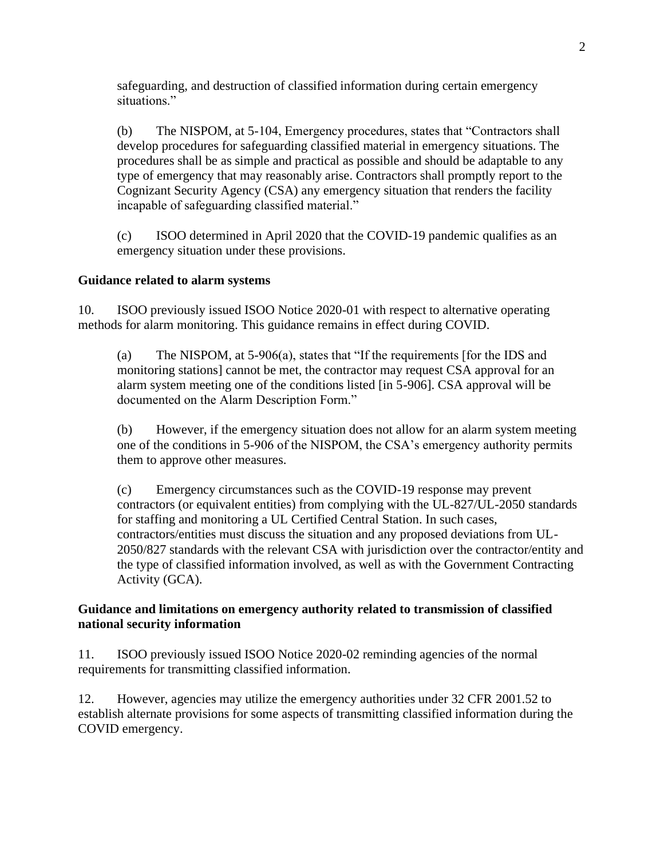safeguarding, and destruction of classified information during certain emergency situations."

(b) The NISPOM, at 5-104, Emergency procedures, states that "Contractors shall develop procedures for safeguarding classified material in emergency situations. The procedures shall be as simple and practical as possible and should be adaptable to any type of emergency that may reasonably arise. Contractors shall promptly report to the Cognizant Security Agency (CSA) any emergency situation that renders the facility incapable of safeguarding classified material."

(c) ISOO determined in April 2020 that the COVID-19 pandemic qualifies as an emergency situation under these provisions.

### **Guidance related to alarm systems**

10. ISOO previously issued ISOO Notice 2020-01 with respect to alternative operating methods for alarm monitoring. This guidance remains in effect during COVID.

(a) The NISPOM, at 5-906(a), states that "If the requirements [for the IDS and monitoring stations] cannot be met, the contractor may request CSA approval for an alarm system meeting one of the conditions listed [in 5-906]. CSA approval will be documented on the Alarm Description Form."

(b) However, if the emergency situation does not allow for an alarm system meeting one of the conditions in 5-906 of the NISPOM, the CSA's emergency authority permits them to approve other measures.

(c) Emergency circumstances such as the COVID-19 response may prevent contractors (or equivalent entities) from complying with the UL-827/UL-2050 standards for staffing and monitoring a UL Certified Central Station. In such cases, contractors/entities must discuss the situation and any proposed deviations from UL-2050/827 standards with the relevant CSA with jurisdiction over the contractor/entity and the type of classified information involved, as well as with the Government Contracting Activity (GCA).

### **Guidance and limitations on emergency authority related to transmission of classified national security information**

11. ISOO previously issued ISOO Notice 2020-02 reminding agencies of the normal requirements for transmitting classified information.

12. However, agencies may utilize the emergency authorities under 32 CFR 2001.52 to establish alternate provisions for some aspects of transmitting classified information during the COVID emergency.